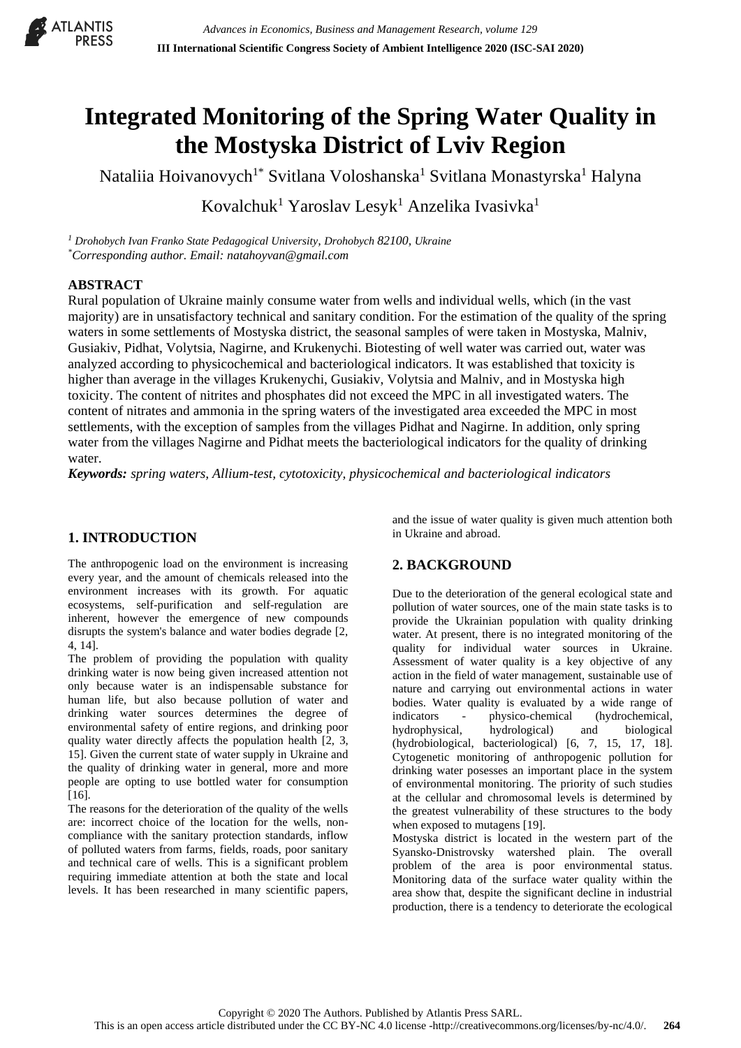

# **Integrated Monitoring of the Spring Water Quality in the Mostyska District of Lviv Region**

Nataliia Hoivanovych<sup>1\*</sup> Svitlana Voloshanska<sup>1</sup> Svitlana Monastyrska<sup>1</sup> Halyna

Kovalchuk<sup>1</sup> Yaroslav Lesyk<sup>1</sup> Anzelika Ivasivka<sup>1</sup>

*<sup>1</sup> Drohobych Ivan Franko State Pedagogical University, Drohobych 82100, Ukraine \*Corresponding author. Email: natahoyvan@gmail.com*

# **ABSTRACT**

Rural population of Ukraine mainly consume water from wells and individual wells, which (in the vast majority) are in unsatisfactory technical and sanitary condition. For the estimation of the quality of the spring waters in some settlements of Mostyska district, the seasonal samples of were taken in Mostyska, Malniv, Gusiakiv, Pidhat, Volytsia, Nagirne, and Krukenychi. Biotesting of well water was carried out, water was analyzed according to physicochemical and bacteriological indicators. It was established that toxicity is higher than average in the villages Krukenychi, Gusiakiv, Volytsia and Malniv, and in Mostyska high toxicity. The content of nitrites and phosphates did not exceed the MPC in all investigated waters. The content of nitrates and ammonia in the spring waters of the investigated area exceeded the MPC in most settlements, with the exception of samples from the villages Pidhat and Nagirne. In addition, only spring water from the villages Nagirne and Pidhat meets the bacteriological indicators for the quality of drinking water.

*Keywords: spring waters, Allium-test, cytotoxicity, physicochemical and bacteriological indicators*

## **1. INTRODUCTION**

The anthropogenic load on the environment is increasing every year, and the amount of chemicals released into the environment increases with its growth. For aquatic ecosystems, self-purification and self-regulation are inherent, however the emergence of new compounds disrupts the system's balance and water bodies degrade [2, 4, 14].

The problem of providing the population with quality drinking water is now being given increased attention not only because water is an indispensable substance for human life, but also because pollution of water and drinking water sources determines the degree of environmental safety of entire regions, and drinking poor quality water directly affects the population health [2, 3, 15]. Given the current state of water supply in Ukraine and the quality of drinking water in general, more and more people are opting to use bottled water for consumption [16].

The reasons for the deterioration of the quality of the wells are: incorrect choice of the location for the wells, noncompliance with the sanitary protection standards, inflow of polluted waters from farms, fields, roads, poor sanitary and technical care of wells. This is a significant problem requiring immediate attention at both the state and local levels. It has been researched in many scientific papers,

and the issue of water quality is given much attention both in Ukraine and abroad.

# **2. BACKGROUND**

Due to the deterioration of the general ecological state and pollution of water sources, one of the main state tasks is to provide the Ukrainian population with quality drinking water. At present, there is no integrated monitoring of the quality for individual water sources in Ukraine. Assessment of water quality is a key objective of any action in the field of water management, sustainable use of nature and carrying out environmental actions in water bodies. Water quality is evaluated by a wide range of indicators - physico-chemical (hydrochemical, hydrophysical, hydrological) and biological (hydrobiological, bacteriological) [6, 7, 15, 17, 18]. Cytogenetic monitoring of anthropogenic pollution for drinking water posesses an important place in the system of environmental monitoring. The priority of such studies at the cellular and chromosomal levels is determined by the greatest vulnerability of these structures to the body when exposed to mutagens [19].

Mostyska district is located in the western part of the Syansko-Dnistrovsky watershed plain. The overall problem of the area is poor environmental status. Monitoring data of the surface water quality within the area show that, despite the significant decline in industrial production, there is a tendency to deteriorate the ecological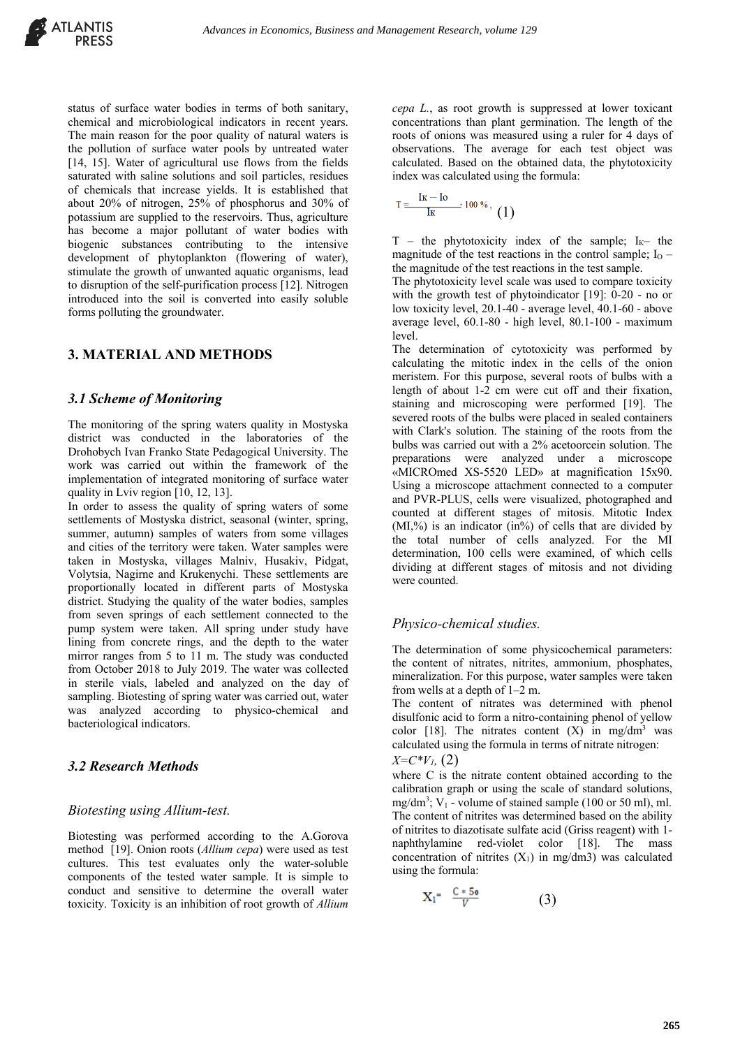status of surface water bodies in terms of both sanitary, chemical and microbiological indicators in recent years. The main reason for the poor quality of natural waters is the pollution of surface water pools by untreated water [14, 15]. Water of agricultural use flows from the fields saturated with saline solutions and soil particles, residues of chemicals that increase yields. It is established that about 20% of nitrogen, 25% of phosphorus and 30% of potassium are supplied to the reservoirs. Thus, agriculture has become a major pollutant of water bodies with biogenic substances contributing to the intensive development of phytoplankton (flowering of water), stimulate the growth of unwanted aquatic organisms, lead to disruption of the self-purification process [12]. Nitrogen introduced into the soil is converted into easily soluble forms polluting the groundwater.

## **3. MATERIAL AND METHODS**

#### *3.1 Scheme of Monitoring*

The monitoring of the spring waters quality in Mostyska district was conducted in the laboratories of the Drohobych Ivan Franko State Pedagogical University. The work was carried out within the framework of the implementation of integrated monitoring of surface water quality in Lviv region [10, 12, 13].

In order to assess the quality of spring waters of some settlements of Mostyska district, seasonal (winter, spring, summer, autumn) samples of waters from some villages and cities of the territory were taken. Water samples were taken in Mostyska, villages Malniv, Husakiv, Pidgat, Volytsia, Nagirne and Krukenychi. These settlements are proportionally located in different parts of Mostyska district. Studying the quality of the water bodies, samples from seven springs of each settlement connected to the pump system were taken. All spring under study have lining from concrete rings, and the depth to the water mirror ranges from 5 to 11 m. The study was conducted from October 2018 to July 2019. The water was collected in sterile vials, labeled and analyzed on the day of sampling. Biotesting of spring water was carried out, water was analyzed according to physico-chemical and bacteriological indicators.

#### *3.2 Research Methods*

#### *Biotesting using Allium-test.*

Biotesting was performed according to the A.Gorova method [19]. Onion roots (*Allium cepa*) were used as test cultures. This test evaluates only the water-soluble components of the tested water sample. It is simple to conduct and sensitive to determine the overall water toxicity. Toxicity is an inhibition of root growth of *Allium* 

*cepa L.*, as root growth is suppressed at lower toxicant concentrations than plant germination. The length of the roots of onions was measured using a ruler for 4 days of observations. The average for each test object was calculated. Based on the obtained data, the phytotoxicity index was calculated using the formula:

$$
T = \frac{K - I_0}{K} \cdot 100\% \cdot (1)
$$

 $T -$  the phytotoxicity index of the sample;  $I_{K^-}$  the magnitude of the test reactions in the control sample;  $I_0$  – the magnitude of the test reactions in the test sample.

The phytotoxicity level scale was used to compare toxicity with the growth test of phytoindicator [19]: 0-20 - no or low toxicity level, 20.1-40 - average level, 40.1-60 - above average level, 60.1-80 - high level, 80.1-100 - maximum level.

The determination of cytotoxicity was performed by calculating the mitotic index in the cells of the onion meristem. For this purpose, several roots of bulbs with a length of about 1-2 cm were cut off and their fixation, staining and microscoping were performed [19]. The severed roots of the bulbs were placed in sealed containers with Clark's solution. The staining of the roots from the bulbs was carried out with a 2% acetoorcein solution. The preparations were analyzed under a microscope «MICROmed XS-5520 LED» at magnification 15x90. Using a microscope attachment connected to a computer and PVR-PLUS, cells were visualized, photographed and counted at different stages of mitosis. Mitotic Index  $(MI,%)$  is an indicator (in%) of cells that are divided by the total number of cells analyzed. For the MI determination, 100 cells were examined, of which cells dividing at different stages of mitosis and not dividing were counted.

#### *Physico-chemical studies.*

The determination of some physicochemical parameters: the content of nitrates, nitrites, ammonium, phosphates, mineralization. For this purpose, water samples were taken from wells at a depth of 1–2 m.

The content of nitrates was determined with phenol disulfonic acid to form a nitro-containing phenol of yellow color [18]. The nitrates content  $(X)$  in mg/dm<sup>3</sup> was calculated using the formula in terms of nitrate nitrogen:

$$
X=C^*V_I,\,(2)
$$

where C is the nitrate content obtained according to the calibration graph or using the scale of standard solutions, mg/dm<sup>3</sup>;  $V_1$  - volume of stained sample (100 or 50 ml), ml. The content of nitrites was determined based on the ability of nitrites to diazotisate sulfate acid (Griss reagent) with 1 naphthylamine red-violet color [18]. The mass concentration of nitrites  $(X_1)$  in mg/dm3) was calculated using the formula:

$$
X_1 = \frac{C * 50}{V} \tag{3}
$$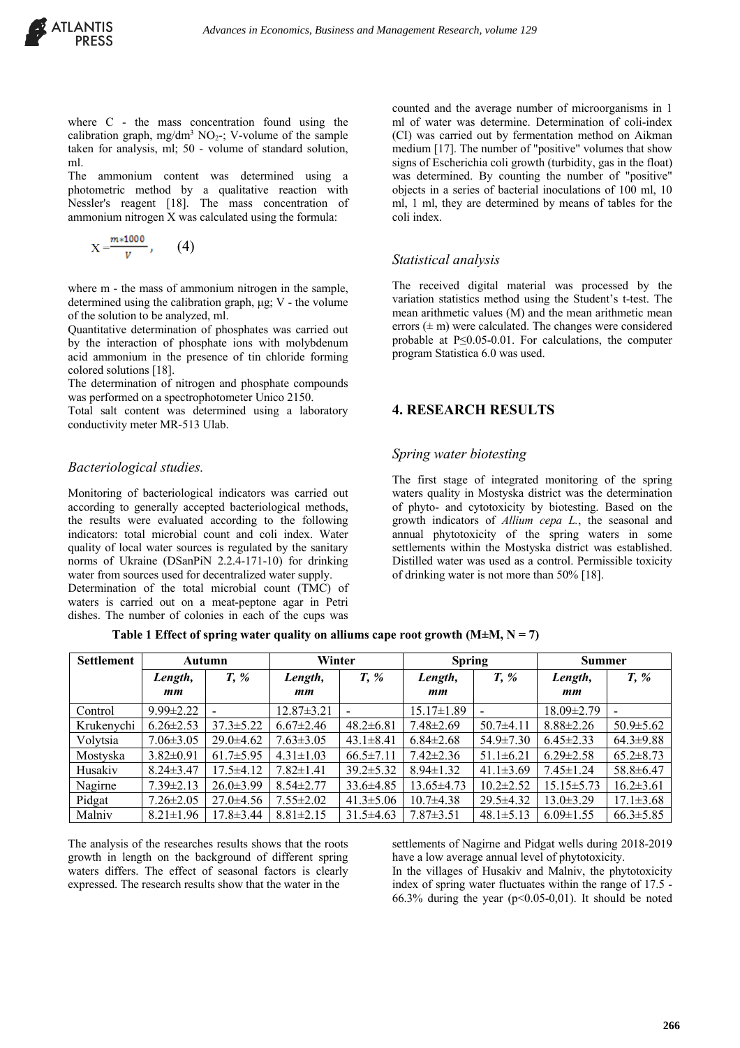where C - the mass concentration found using the calibration graph, mg/dm<sup>3</sup> NO<sub>2</sub>-; V-volume of the sample taken for analysis, ml; 50 - volume of standard solution, ml.

The ammonium content was determined using a photometric method by a qualitative reaction with Nessler's reagent [18]. The mass concentration of ammonium nitrogen X was calculated using the formula:

$$
X=\frac{m*1000}{v},\qquad(4)
$$

where m - the mass of ammonium nitrogen in the sample, determined using the calibration graph, μg; V - the volume of the solution to be analyzed, ml.

Quantitative determination of phosphates was carried out by the interaction of phosphate ions with molybdenum acid ammonium in the presence of tin chloride forming colored solutions [18].

The determination of nitrogen and phosphate compounds was performed on a spectrophotometer Unico 2150.

Total salt content was determined using a laboratory conductivity meter MR-513 Ulab.

#### *Bacteriological studies.*

Monitoring of bacteriological indicators was carried out according to generally accepted bacteriological methods, the results were evaluated according to the following indicators: total microbial count and coli index. Water quality of local water sources is regulated by the sanitary norms of Ukraine (DSanPiN 2.2.4-171-10) for drinking water from sources used for decentralized water supply.

Determination of the total microbial count (TMC) of waters is carried out on a meat-peptone agar in Petri dishes. The number of colonies in each of the cups was

counted and the average number of microorganisms in 1 ml of water was determine. Determination of coli-index (CI) was carried out by fermentation method on Aikman medium [17]. The number of "positive" volumes that show signs of Escherichia coli growth (turbidity, gas in the float) was determined. By counting the number of "positive" objects in a series of bacterial inoculations of 100 ml, 10 ml, 1 ml, they are determined by means of tables for the coli index.

#### *Statistical analysis*

The received digital material was processed by the variation statistics method using the Student's t-test. The mean arithmetic values (M) and the mean arithmetic mean errors  $(\pm m)$  were calculated. The changes were considered probable at P≤0.05-0.01. For calculations, the computer program Statistica 6.0 was used.

#### **4. RESEARCH RESULTS**

#### *Spring water biotesting*

The first stage of integrated monitoring of the spring waters quality in Mostyska district was the determination of phyto- and cytotoxicity by biotesting. Based on the growth indicators of *Allium cepa L.*, the seasonal and annual phytotoxicity of the spring waters in some settlements within the Mostyska district was established. Distilled water was used as a control. Permissible toxicity of drinking water is not more than 50% [18].

| <b>Settlement</b> | Autumn          |                  | Winter           |                  | <b>Spring</b>    |                  | <b>Summer</b>    |                 |  |  |  |  |
|-------------------|-----------------|------------------|------------------|------------------|------------------|------------------|------------------|-----------------|--|--|--|--|
|                   | Length,         | $T, \mathcal{U}$ | Length,          | $T, \mathcal{U}$ | Length,          | $T, \mathcal{U}$ | Length,          | $T, \%$         |  |  |  |  |
|                   | mm              |                  | mm               |                  | mm               |                  | mm               |                 |  |  |  |  |
| Control           | $9.99 \pm 2.22$ |                  | $12.87 \pm 3.21$ |                  | $15.17 \pm 1.89$ |                  | $18.09 \pm 2.79$ |                 |  |  |  |  |
| Krukenvchi        | $6.26 \pm 2.53$ | $37.3 \pm 5.22$  | $6.67 \pm 2.46$  | $48.2 \pm 6.81$  | $7.48 \pm 2.69$  | $50.7\pm4.11$    | $8.88\pm2.26$    | $50.9 \pm 5.62$ |  |  |  |  |
| Volytsia          | $7.06 \pm 3.05$ | $29.0 \pm 4.62$  | $7.63 \pm 3.05$  | $43.1 \pm 8.41$  | $6.84 \pm 2.68$  | 54.9±7.30        | $6.45 \pm 2.33$  | $64.3 \pm 9.88$ |  |  |  |  |

Mostyska | 3.82±0.91 | 61.7±5.95 | 4.31±1.03 | 66.5±7.11 | 7.42±2.36 | 51.1±6.21 | 6.29±2.58 | 65.2±8.73 Husakiv 8.24±3.47 17.5±4.12 7.82±1.41 39.2±5.32 8.94±1.32 41.1±3.69 7.45±1.24 58.8±6.47 Nagirne 7.39±2.13 26.0±3.99 8.54±2.77 33.6±4.85 13.65±4.73 10.2±2.52 15.15±5.73 16.2±3.61 Pidgat 7.26±2.05 | 27.0±4.56 | 7.55±2.02 | 41.3±5.06 | 10.7±4.38 | 29.5±4.32 | 13.0±3.29 | 17.1±3.68 Malniv 8.21±1.96 | 17.8±3.44 | 8.81±2.15 | 31.5±4.63 | 7.87±3.51 | 48.1±5.13 | 6.09±1.55 | 66.3±5.85

Table 1 Effect of spring water quality on alliums cape root growth  $(M \pm M, N = 7)$ 

The analysis of the researches results shows that the roots growth in length on the background of different spring waters differs. The effect of seasonal factors is clearly expressed. The research results show that the water in the

settlements of Nagirne and Pidgat wells during 2018-2019 have a low average annual level of phytotoxicity.

In the villages of Husakiv and Malniv, the phytotoxicity index of spring water fluctuates within the range of 17.5 - 66.3% during the year ( $p<0.05-0.01$ ). It should be noted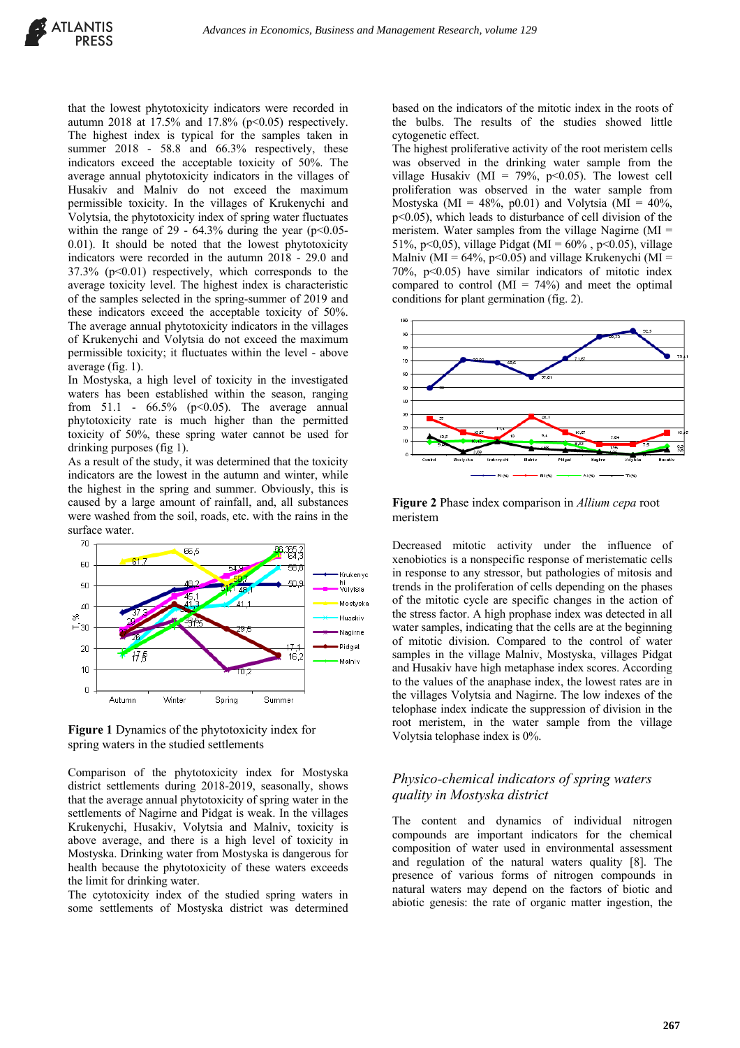that the lowest phytotoxicity indicators were recorded in autumn 2018 at 17.5% and 17.8% (р˂0.05) respectively. The highest index is typical for the samples taken in summer 2018 - 58.8 and 66.3% respectively, these indicators exceed the acceptable toxicity of 50%. The average annual phytotoxicity indicators in the villages of Husakiv and Malniv do not exceed the maximum permissible toxicity. In the villages of Krukenychi and Volytsia, the phytotoxicity index of spring water fluctuates within the range of 29 -  $64.3\%$  during the year ( $p<0.05$ -0.01). It should be noted that the lowest phytotoxicity indicators were recorded in the autumn 2018 - 29.0 and 37.3% (р˂0.01) respectively, which corresponds to the average toxicity level. The highest index is characteristic of the samples selected in the spring-summer of 2019 and these indicators exceed the acceptable toxicity of 50%. The average annual phytotoxicity indicators in the villages of Krukenychi and Volytsia do not exceed the maximum permissible toxicity; it fluctuates within the level - above average (fig. 1).

In Mostyska, a high level of toxicity in the investigated waters has been established within the season, ranging from 51.1 -  $66.5\%$  (p<0.05). The average annual phytotoxicity rate is much higher than the permitted toxicity of 50%, these spring water cannot be used for drinking purposes (fig 1).

As a result of the study, it was determined that the toxicity indicators are the lowest in the autumn and winter, while the highest in the spring and summer. Obviously, this is caused by a large amount of rainfall, and, all substances were washed from the soil, roads, etc. with the rains in the surface water.



**Figure 1** Dynamics of the phytotoxicity index for spring waters in the studied settlements

Comparison of the phytotoxicity index for Mostyska district settlements during 2018-2019, seasonally, shows that the average annual phytotoxicity of spring water in the settlements of Nagirne and Pidgat is weak. In the villages Krukenychi, Husakiv, Volytsia and Malniv, toxicity is above average, and there is a high level of toxicity in Mostyska. Drinking water from Mostyska is dangerous for health because the phytotoxicity of these waters exceeds the limit for drinking water.

The cytotoxicity index of the studied spring waters in some settlements of Mostyska district was determined based on the indicators of the mitotic index in the roots of the bulbs. The results of the studies showed little cytogenetic effect.

The highest proliferative activity of the root meristem cells was observed in the drinking water sample from the village Husakiv (MI = 79%,  $p<0.05$ ). The lowest cell proliferation was observed in the water sample from Mostyska (MI = 48%, p0.01) and Volytsia (MI = 40%, р˂0.05), which leads to disturbance of cell division of the meristem. Water samples from the village Nagirne  $(MI =$ 51%, p<0,05), village Pidgat (MI =  $60\%$ , p<0.05), village Malniv ( $MI = 64\%$ , p<0.05) and village Krukenychi ( $MI =$ 70%, p<0.05) have similar indicators of mitotic index compared to control  $(MI = 74%)$  and meet the optimal conditions for plant germination (fig. 2).



**Figure 2** Phase index comparison in *Allium cepa* root meristem

Decreased mitotic activity under the influence of xenobiotics is a nonspecific response of meristematic cells in response to any stressor, but pathologies of mitosis and trends in the proliferation of cells depending on the phases of the mitotic cycle are specific changes in the action of the stress factor. A high prophase index was detected in all water samples, indicating that the cells are at the beginning of mitotic division. Compared to the control of water samples in the village Malniv, Mostyska, villages Pidgat and Husakiv have high metaphase index scores. According to the values of the anaphase index, the lowest rates are in the villages Volytsia and Nagirne. The low indexes of the telophase index indicate the suppression of division in the root meristem, in the water sample from the village Volytsia telophase index is 0%.

#### *Physico-chemical indicators of spring waters quality in Mostyskа district*

The content and dynamics of individual nitrogen compounds are important indicators for the chemical composition of water used in environmental assessment and regulation of the natural waters quality [8]. The presence of various forms of nitrogen compounds in natural waters may depend on the factors of biotic and abiotic genesis: the rate of organic matter ingestion, the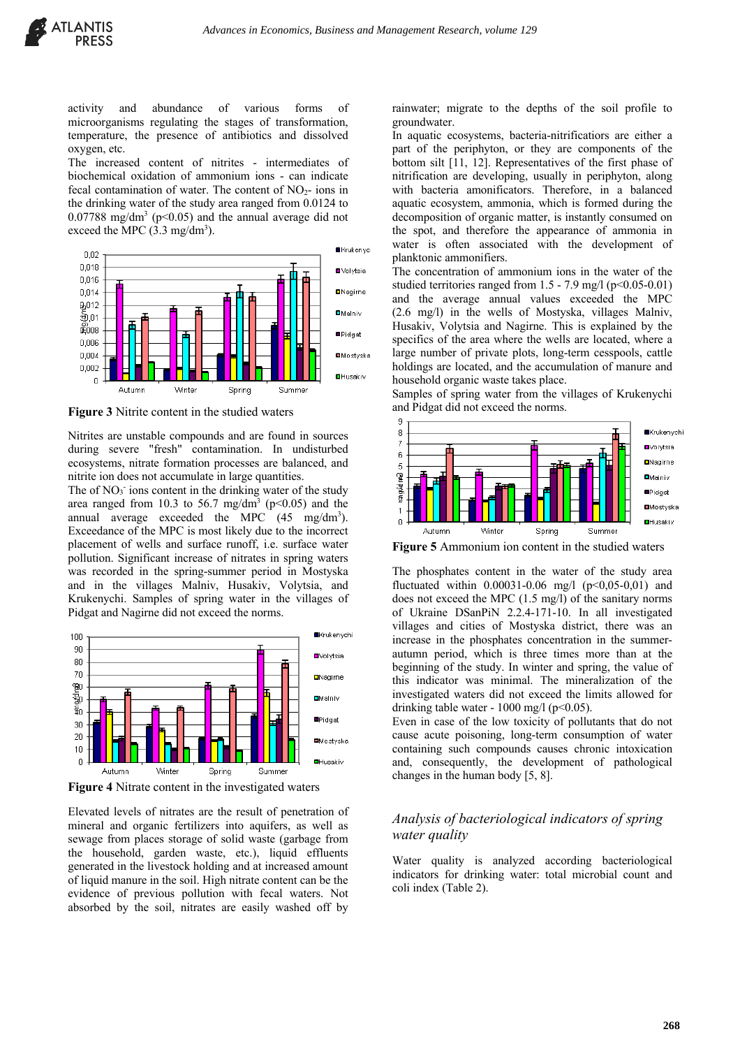

activity and abundance of various forms of microorganisms regulating the stages of transformation, temperature, the presence of antibiotics and dissolved oxygen, etc.

The increased content of nitrites - intermediates of biochemical oxidation of ammonium ions - can indicate fecal contamination of water. The content of  $NO<sub>2</sub>-$  ions in the drinking water of the study area ranged from 0.0124 to 0.07788 mg/dm<sup>3</sup> ( $p$ <0.05) and the annual average did not exceed the MPC  $(3.3 \text{ mg/dm}^3)$ .



**Figure 3** Nitrite content in the studied waters

Nitrites are unstable compounds and are found in sources during severe "fresh" contamination. In undisturbed ecosystems, nitrate formation processes are balanced, and nitrite ion does not accumulate in large quantities.

The of  $NO<sub>3</sub>$  ions content in the drinking water of the study area ranged from 10.3 to 56.7 mg/dm<sup>3</sup> ( $p$ <0.05) and the annual average exceeded the MPC  $(45 \text{ mg/dm}^3)$ . Exceedance of the MPC is most likely due to the incorrect placement of wells and surface runoff, i.e. surface water pollution. Significant increase of nitrates in spring waters was recorded in the spring-summer period in Mostyska and in the villages Malniv, Husakiv, Volytsia, and Krukenychi. Samples of spring water in the villages of Pidgat and Nagirne did not exceed the norms.



**Figure 4** Nitrate content in the investigated waters

Elevated levels of nitrates are the result of penetration of mineral and organic fertilizers into aquifers, as well as sewage from places storage of solid waste (garbage from the household, garden waste, etc.), liquid effluents generated in the livestock holding and at increased amount of liquid manure in the soil. High nitrate content can be the evidence of previous pollution with fecal waters. Not absorbed by the soil, nitrates are easily washed off by

rainwater; migrate to the depths of the soil profile to groundwater.

In aquatic ecosystems, bacteria-nitrificatiors are either a part of the periphyton, or they are components of the bottom silt [11, 12]. Representatives of the first phase of nitrification are developing, usually in periphyton, along with bacteria amonificators. Therefore, in a balanced aquatic ecosystem, ammonia, which is formed during the decomposition of organic matter, is instantly consumed on the spot, and therefore the appearance of ammonia in water is often associated with the development of planktonic ammonifiers.

The concentration of ammonium ions in the water of the studied territories ranged from 1.5 - 7.9 mg/l (p<0.05-0.01) and the average annual values exceeded the MPC (2.6 mg/l) in the wells of Mostyska, villages Malniv, Husakiv, Volytsia and Nagirne. This is explained by the specifics of the area where the wells are located, where a large number of private plots, long-term cesspools, cattle holdings are located, and the accumulation of manure and household organic waste takes place.

Samples of spring water from the villages of Krukenychi and Pidgat did not exceed the norms.



**Figure 5** Ammonium ion content in the studied waters

The phosphates content in the water of the study area fluctuated within  $0.00031 - 0.06$  mg/l ( $p < 0.05 - 0.01$ ) and does not exceed the MPC (1.5 mg/l) of the sanitary norms of Ukraine DSanPiN 2.2.4-171-10. In all investigated villages and cities of Mostyska district, there was an increase in the phosphates concentration in the summerautumn period, which is three times more than at the beginning of the study. In winter and spring, the value of this indicator was minimal. The mineralization of the investigated waters did not exceed the limits allowed for drinking table water -  $1000 \text{ mg/l}$  (p<0.05).

Even in case of the low toxicity of pollutants that do not cause acute poisoning, long-term consumption of water containing such compounds causes chronic intoxication and, consequently, the development of pathological changes in the human body [5, 8].

### *Analysis of bacteriological indicators of spring water quality*

Water quality is analyzed according bacteriological indicators for drinking water: total microbial count and coli index (Table 2).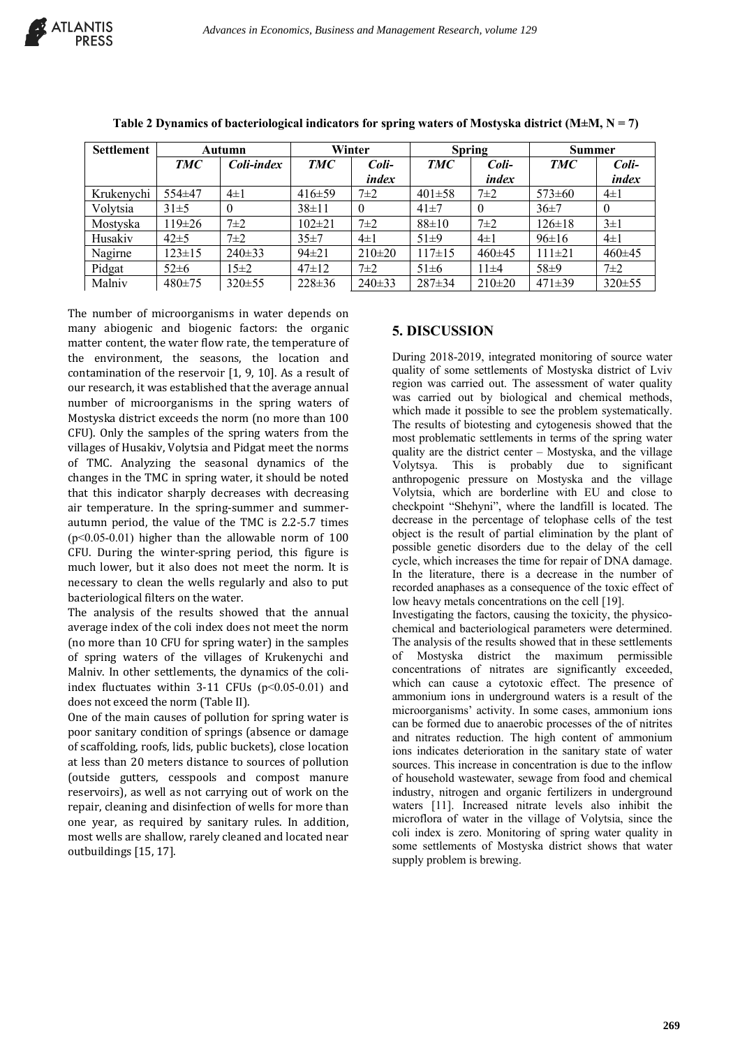

| Settlement | Autumn       |              | Winter       |              | <b>Spring</b> |             | <b>Summer</b> |                |
|------------|--------------|--------------|--------------|--------------|---------------|-------------|---------------|----------------|
|            | <b>TMC</b>   | Coli-index   | <b>TMC</b>   | Coli-        | <b>TMC</b>    | Coli-       | <b>TMC</b>    | Coli-          |
|            |              |              |              | index        |               | index       |               | <i>index</i>   |
| Krukenychi | 554±47       | $4\pm1$      | $416 \pm 59$ | $7\pm2$      | $401\pm58$    | $7\pm2$     | $573\pm60$    | $4\pm1$        |
| Volytsia   | $31\pm5$     | $\Omega$     | $38 \pm 11$  | $\mathbf{0}$ | $41\pm7$      | $\theta$    | $36\pm7$      | $\overline{0}$ |
| Mostyska   | $119 \pm 26$ | $7\pm2$      | $102 \pm 21$ | $7\pm2$      | $88 \pm 10$   | $7\pm2$     | $126 \pm 18$  | $3\pm1$        |
| Husakiv    | $42\pm5$     | $7\pm2$      | $35 \pm 7$   | $4\pm1$      | $51 \pm 9$    | $4\pm1$     | $96 \pm 16$   | $4\pm1$        |
| Nagirne    | $123 \pm 15$ | $240 \pm 33$ | $94\pm21$    | $210\pm 20$  | $117 \pm 15$  | $460\pm45$  | $111 \pm 21$  | $460 \pm 45$   |
| Pidgat     | $52\pm 6$    | $15\pm 2$    | $47 \pm 12$  | $7\pm2$      | $51 \pm 6$    | $11\pm4$    | 58±9          | $7\pm2$        |
| Malniv     | $480 \pm 75$ | $320 \pm 55$ | $228 \pm 36$ | $240 \pm 33$ | $287 \pm 34$  | $210\pm 20$ | $471 \pm 39$  | $320 \pm 55$   |

Table 2 Dynamics of bacteriological indicators for spring waters of Mostyska district (M $\pm$ M, N = 7)

The number of microorganisms in water depends on many abiogenic and biogenic factors: the organic matter content, the water flow rate, the temperature of the environment, the seasons, the location and contamination of the reservoir  $[1, 9, 10]$ . As a result of our research, it was established that the average annual number of microorganisms in the spring waters of Mostyska district exceeds the norm (no more than 100 CFU). Only the samples of the spring waters from the villages of Husakiv, Volytsia and Pidgat meet the norms of TMC. Analyzing the seasonal dynamics of the changes in the TMC in spring water, it should be noted that this indicator sharply decreases with decreasing air temperature. In the spring-summer and summerautumn period, the value of the TMC is 2.2-5.7 times  $(p<0.05-0.01)$  higher than the allowable norm of 100 CFU. During the winter-spring period, this figure is much lower, but it also does not meet the norm. It is necessary to clean the wells regularly and also to put bacteriological filters on the water.

The analysis of the results showed that the annual average index of the coli index does not meet the norm (no more than 10 CFU for spring water) in the samples of spring waters of the villages of Krukenychi and Malniv. In other settlements, the dynamics of the coliindex fluctuates within  $3-11$  CFUs ( $p<0.05-0.01$ ) and does not exceed the norm (Table II).

One of the main causes of pollution for spring water is poor sanitary condition of springs (absence or damage of scaffolding, roofs, lids, public buckets), close location at less than 20 meters distance to sources of pollution (outside gutters, cesspools and compost manure reservoirs), as well as not carrying out of work on the repair, cleaning and disinfection of wells for more than one year, as required by sanitary rules. In addition, most wells are shallow, rarely cleaned and located near outbuildings [15, 17].

#### **5. DISCUSSION**

During 2018-2019, integrated monitoring of source water quality of some settlements of Mostyska district of Lviv region was carried out. The assessment of water quality was carried out by biological and chemical methods, which made it possible to see the problem systematically. The results of biotesting and cytogenesis showed that the most problematic settlements in terms of the spring water quality are the district center – Mostyska, and the village Volytsya. This is probably due to significant anthropogenic pressure on Mostyska and the village Volytsia, which are borderline with EU and close to checkpoint "Shehyni", where the landfill is located. The decrease in the percentage of telophase cells of the test object is the result of partial elimination by the plant of possible genetic disorders due to the delay of the cell cycle, which increases the time for repair of DNA damage. In the literature, there is a decrease in the number of recorded anaphases as a consequence of the toxic effect of low heavy metals concentrations on the cell [19].

Investigating the factors, causing the toxicity, the physicochemical and bacteriological parameters were determined. The analysis of the results showed that in these settlements of Mostyska district the maximum permissible concentrations of nitrates are significantly exceeded, which can cause a cytotoxic effect. The presence of ammonium ions in underground waters is a result of the microorganisms' activity. In some cases, ammonium ions can be formed due to anaerobic processes of the of nitrites and nitrates reduction. The high content of ammonium ions indicates deterioration in the sanitary state of water sources. This increase in concentration is due to the inflow of household wastewater, sewage from food and chemical industry, nitrogen and organic fertilizers in underground waters [11]. Increased nitrate levels also inhibit the microflora of water in the village of Volytsia, since the coli index is zero. Monitoring of spring water quality in some settlements of Mostyska district shows that water supply problem is brewing.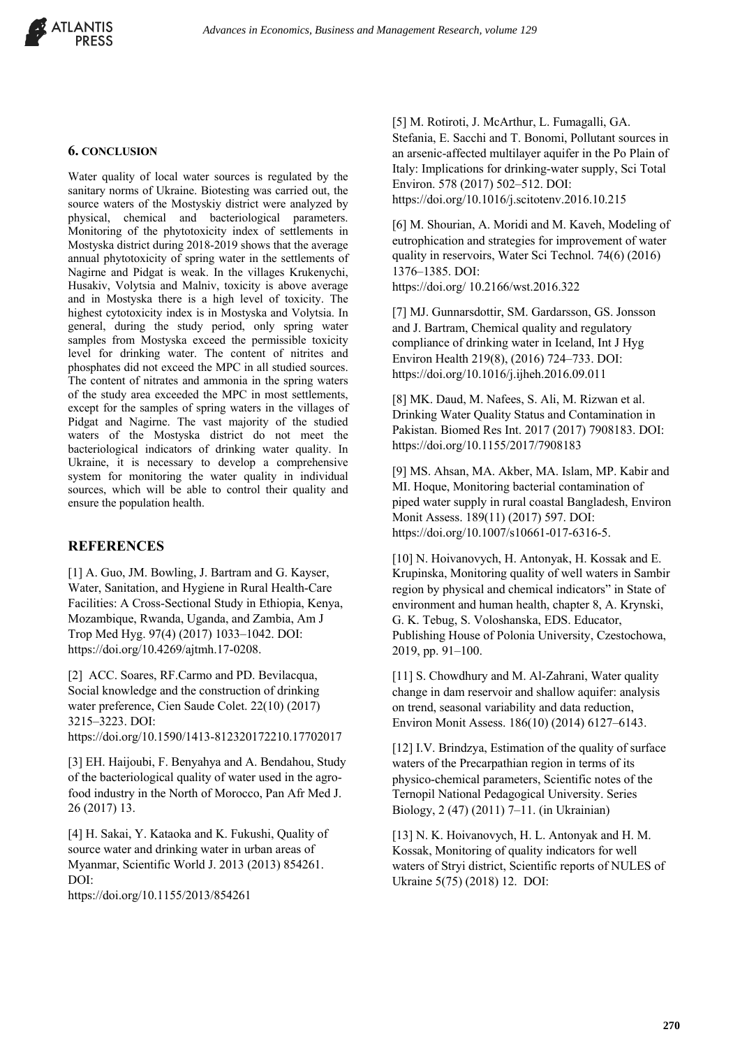

#### **6. CONCLUSION**

Water quality of local water sources is regulated by the sanitary norms of Ukraine. Biotesting was carried out, the source waters of the Mostyskiy district were analyzed by physical, chemical and bacteriological parameters. Monitoring of the phytotoxicity index of settlements in Mostyska district during 2018-2019 shows that the average annual phytotoxicity of spring water in the settlements of Nagirne and Pidgat is weak. In the villages Krukenychi, Husakiv, Volytsia and Malniv, toxicity is above average and in Mostyska there is a high level of toxicity. The highest cytotoxicity index is in Mostyska and Volytsia. In general, during the study period, only spring water samples from Mostyska exceed the permissible toxicity level for drinking water. The content of nitrites and phosphates did not exceed the MPC in all studied sources. The content of nitrates and ammonia in the spring waters of the study area exceeded the MPC in most settlements, except for the samples of spring waters in the villages of Pidgat and Nagirne. The vast majority of the studied waters of the Mostyska district do not meet the bacteriological indicators of drinking water quality. In Ukraine, it is necessary to develop a comprehensive system for monitoring the water quality in individual sources, which will be able to control their quality and ensure the population health.

#### **REFERENCES**

[1] A. Guo, JM. Bowling, J. Bartram and G. Kayser, Water, Sanitation, and Hygiene in Rural Health-Care Facilities: A Cross-Sectional Study in Ethiopia, Kenya, Mozambique, Rwanda, Uganda, and Zambia, Am J Trop Med Hyg. 97(4) (2017) 1033–1042. DOI: https://doi.org/10.4269/ajtmh.17-0208.

[2] ACC. Soares, RF.Carmo and PD. Bevilacqua, Social knowledge and the construction of drinking water preference, Cien Saude Colet. 22(10) (2017) 3215–3223. DOI:

https://doi.org/10.1590/1413-812320172210.17702017

[3] EH. Haijoubi, F. Benyahya and A. Bendahou, Study of the bacteriological quality of water used in the agrofood industry in the North of Morocco, Pan Afr Med J. 26 (2017) 13.

[4] H. Sakai, Y. Kataoka and K. Fukushi, Quality of source water and drinking water in urban areas of Myanmar, Scientific World J. 2013 (2013) 854261. DOI:

https://doi.org/10.1155/2013/854261

[5] M. Rotiroti, J. McArthur, L. Fumagalli, GA. Stefania, E. Sacchi and T. Bonomi, Pollutant sources in an arsenic-affected multilayer aquifer in the Po Plain of Italy: Implications for drinking-water supply, Sci Total Environ. 578 (2017) 502–512. DOI: https://doi.org/10.1016/j.scitotenv.2016.10.215

[6] M. Shourian, A. Moridi and M. Kaveh, Modeling of eutrophication and strategies for improvement of water quality in reservoirs, Water Sci Technol. 74(6) (2016) 1376–1385. DOI: https://doi.org/ 10.2166/wst.2016.322

[7] MJ. Gunnarsdottir, SM. Gardarsson, GS. Jonsson and J. Bartram, Chemical quality and regulatory compliance of drinking water in Iceland, Int J Hyg Environ Health 219(8), (2016) 724–733. DOI: https://doi.org/10.1016/j.ijheh.2016.09.011

[8] MK. Daud, M. Nafees, S. Ali, M. Rizwan et al. Drinking Water Quality Status and Contamination in Pakistan. Biomed Res Int. 2017 (2017) 7908183. DOI: https://doi.org/10.1155/2017/7908183

[9] MS. Ahsan, MA. Akber, MA. Islam, MP. Kabir and MI. Hoque, Monitoring bacterial contamination of piped water supply in rural coastal Bangladesh, Environ Monit Assess. 189(11) (2017) 597. DOI: https://doi.org/10.1007/s10661-017-6316-5.

[10] N. Hoivanovych, H. Antonyak, H. Kossak and E. Krupinska, Monitoring quality of well waters in Sambir region by physical and chemical indicators" in State of environment and human health, chapter 8, A. Krynski, G. K. Tebug, S. Voloshanska, EDS. Educator, Publishing House of Polonia University, Czestochowa, 2019, pp. 91–100.

[11] S. Chowdhury and M. Al-Zahrani, Water quality change in dam reservoir and shallow aquifer: analysis on trend, seasonal variability and data reduction, Environ Monit Assess. 186(10) (2014) 6127–6143.

[12] I.V. Brindzya, Estimation of the quality of surface waters of the Precarpathian region in terms of its physico-chemical parameters, Scientific notes of the Ternopil National Pedagogical University. Series Biology, 2 (47) (2011) 7–11. (in Ukrainian)

[13] N. K. Hoivanovych, H. L. Antonyak and H. M. Kossak, Monitoring of quality indicators for well waters of Stryi district, Scientific reports of NULES of Ukraine 5(75) (2018) 12. DOI: